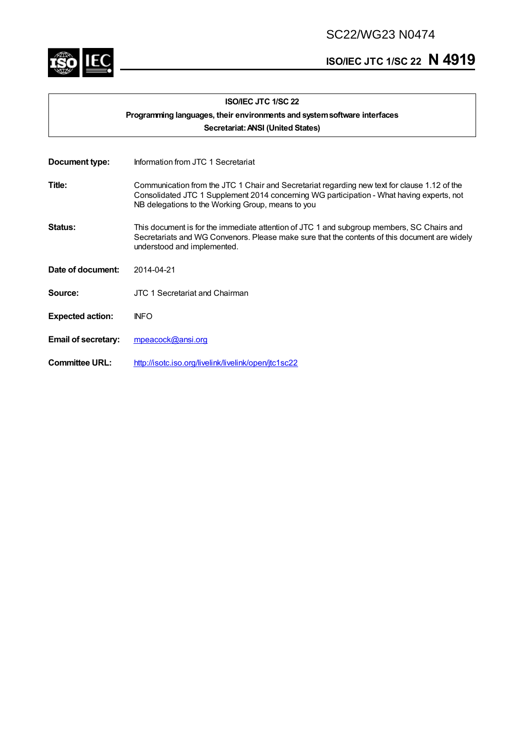SC22/WG23 N0474



# **ISO/IEC JTC 1/SC <sup>22</sup> N 4919**

| <b>ISO/IEC JTC 1/SC 22</b>        |                                                                                                                                                                                                                                                |  |
|-----------------------------------|------------------------------------------------------------------------------------------------------------------------------------------------------------------------------------------------------------------------------------------------|--|
|                                   | Programming languages, their environments and system software interfaces                                                                                                                                                                       |  |
| Secretariat: ANSI (United States) |                                                                                                                                                                                                                                                |  |
| Document type:                    | Information from JTC 1 Secretariat                                                                                                                                                                                                             |  |
| Title:                            | Communication from the JTC 1 Chair and Secretariat regarding new text for clause 1.12 of the<br>Consolidated JTC 1 Supplement 2014 concerning WG participation - What having experts, not<br>NB delegations to the Working Group, means to you |  |
| Status:                           | This document is for the immediate attention of JTC 1 and subgroup members, SC Chairs and<br>Secretariats and WG Convenors. Please make sure that the contents of this document are widely<br>understood and implemented.                      |  |
| Date of document:                 | 2014-04-21                                                                                                                                                                                                                                     |  |
| <b>Source:</b>                    | JTC 1 Secretariat and Chairman                                                                                                                                                                                                                 |  |
| <b>Expected action:</b>           | <b>INFO</b>                                                                                                                                                                                                                                    |  |
| <b>Email of secretary:</b>        | mpeacock@ansi.org                                                                                                                                                                                                                              |  |
| <b>Committee URL:</b>             | http://isotc.iso.org/livelink/livelink/open/jtc1sc22                                                                                                                                                                                           |  |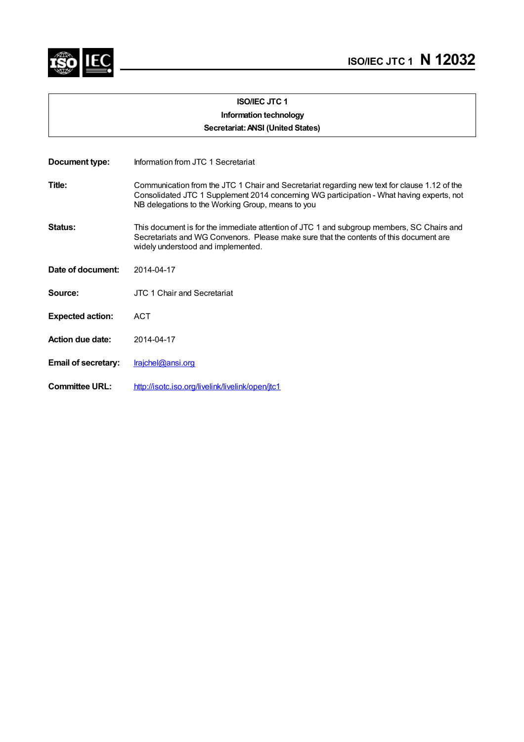

## **ISO/IEC JTC 1 Information technology**

**Secretariat:ANSI (United States)**

| Document type:             | Information from JTC 1 Secretariat                                                                                                                                                                                                             |
|----------------------------|------------------------------------------------------------------------------------------------------------------------------------------------------------------------------------------------------------------------------------------------|
| Title:                     | Communication from the JTC 1 Chair and Secretariat regarding new text for clause 1.12 of the<br>Consolidated JTC 1 Supplement 2014 concerning WG participation - What having experts, not<br>NB delegations to the Working Group, means to you |
| Status:                    | This document is for the immediate attention of JTC 1 and subgroup members, SC Chairs and<br>Secretariats and WG Convenors. Please make sure that the contents of this document are<br>widely understood and implemented.                      |
| Date of document:          | 2014-04-17                                                                                                                                                                                                                                     |
| Source:                    | JTC 1 Chair and Secretariat                                                                                                                                                                                                                    |
| <b>Expected action:</b>    | <b>ACT</b>                                                                                                                                                                                                                                     |
| <b>Action due date:</b>    | 2014-04-17                                                                                                                                                                                                                                     |
| <b>Email of secretary:</b> | Irajchel@ansi.org                                                                                                                                                                                                                              |
| <b>Committee URL:</b>      | http://isotc.iso.org/livelink/livelink/open/jtc1                                                                                                                                                                                               |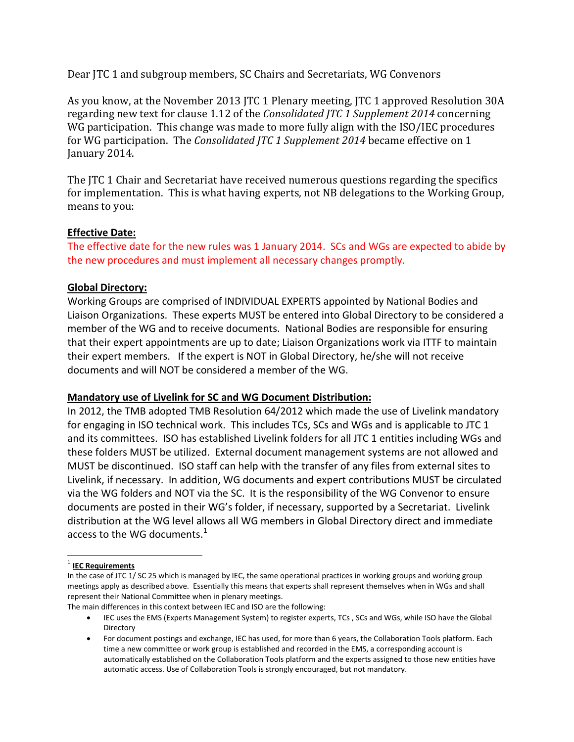Dear JTC 1 and subgroup members, SC Chairs and Secretariats, WG Convenors

As you know, at the November 2013 JTC 1 Plenary meeting, JTC 1 approved Resolution 30A regarding new text for clause 1.12 of the *Consolidated JTC 1 Supplement 2014* concerning WG participation. This change was made to more fully align with the ISO/IEC procedures for WG participation. The *Consolidated JTC 1 Supplement 2014* became effective on 1 January 2014.

The JTC 1 Chair and Secretariat have received numerous questions regarding the specifics for implementation. This is what having experts, not NB delegations to the Working Group, means to you:

#### **Effective Date:**

The effective date for the new rules was 1 January 2014. SCs and WGs are expected to abide by the new procedures and must implement all necessary changes promptly.

## **Global Directory:**

Working Groups are comprised of INDIVIDUAL EXPERTS appointed by National Bodies and Liaison Organizations. These experts MUST be entered into Global Directory to be considered a member of the WG and to receive documents. National Bodies are responsible for ensuring that their expert appointments are up to date; Liaison Organizations work via ITTF to maintain their expert members. If the expert is NOT in Global Directory, he/she will not receive documents and will NOT be considered a member of the WG.

#### **Mandatory use of Livelink for SC and WG Document Distribution:**

In 2012, the TMB adopted TMB Resolution 64/2012 which made the use of Livelink mandatory for engaging in ISO technical work. This includes TCs, SCs and WGs and is applicable to JTC 1 and its committees. ISO has established Livelink folders for all JTC 1 entities including WGs and these folders MUST be utilized. External document management systems are not allowed and MUST be discontinued. ISO staff can help with the transfer of any files from external sites to Livelink, if necessary. In addition, WG documents and expert contributions MUST be circulated via the WG folders and NOT via the SC. It is the responsibility of the WG Convenor to ensure documents are posted in their WG's folder, if necessary, supported by a Secretariat. Livelink distribution at the WG level allows all WG members in Global Directory direct and immediate access to the WG documents. $^{\rm 1}$  $^{\rm 1}$  $^{\rm 1}$ 

<span id="page-2-0"></span>1 **IEC Requirements**

The main differences in this context between IEC and ISO are the following:

In the case of JTC 1/ SC 25 which is managed by IEC, the same operational practices in working groups and working group meetings apply as described above. Essentially this means that experts shall represent themselves when in WGs and shall represent their National Committee when in plenary meetings.

<sup>•</sup> IEC uses the EMS (Experts Management System) to register experts, TCs , SCs and WGs, while ISO have the Global Directory

<sup>•</sup> For document postings and exchange, IEC has used, for more than 6 years, the Collaboration Tools platform. Each time a new committee or work group is established and recorded in the EMS, a corresponding account is automatically established on the Collaboration Tools platform and the experts assigned to those new entities have automatic access. Use of Collaboration Tools is strongly encouraged, but not mandatory.